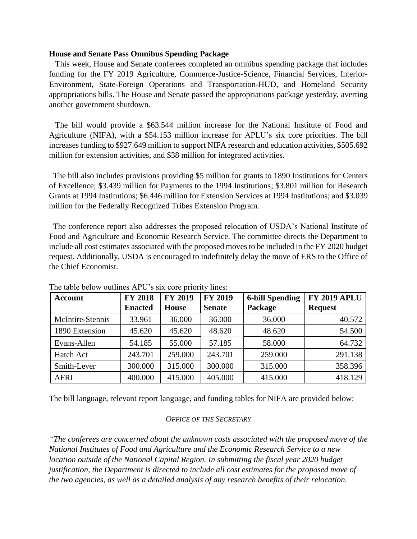### **House and Senate Pass Omnibus Spending Package**

 This week, House and Senate conferees completed an omnibus spending package that includes funding for the FY 2019 Agriculture, Commerce-Justice-Science, Financial Services, Interior-Environment, State-Foreign Operations and Transportation-HUD, and Homeland Security appropriations bills. The House and Senate passed the appropriations package yesterday, averting another government shutdown.

 The bill would provide a \$63.544 million increase for the National Institute of Food and Agriculture (NIFA), with a \$54.153 million increase for APLU's six core priorities. The bill increases funding to \$927.649 million to support NIFA research and education activities, \$505.692 million for extension activities, and \$38 million for integrated activities.

 The bill also includes provisions providing \$5 million for grants to 1890 Institutions for Centers of Excellence; \$3.439 million for Payments to the 1994 Institutions; \$3.801 million for Research Grants at 1994 Institutions; \$6.446 million for Extension Services at 1994 Institutions; and \$3.039 million for the Federally Recognized Tribes Extension Program.

 The conference report also addresses the proposed relocation of USDA's National Institute of Food and Agriculture and Economic Research Service. The committee directs the Department to include all cost estimates associated with the proposed moves to be included in the FY 2020 budget request. Additionally, USDA is encouraged to indefinitely delay the move of ERS to the Office of the Chief Economist.

| <b>Account</b>   | <b>FY 2018</b> | <b>FY 2019</b> | <b>FY 2019</b> | <b>6-bill Spending</b> | <b>FY 2019 APLU</b> |
|------------------|----------------|----------------|----------------|------------------------|---------------------|
|                  | <b>Enacted</b> | <b>House</b>   | <b>Senate</b>  | Package                | <b>Request</b>      |
| McIntire-Stennis | 33.961         | 36.000         | 36.000         | 36.000                 | 40.572              |
| 1890 Extension   | 45.620         | 45.620         | 48.620         | 48.620                 | 54.500              |
| Evans-Allen      | 54.185         | 55.000         | 57.185         | 58.000                 | 64.732              |
| <b>Hatch Act</b> | 243.701        | 259.000        | 243.701        | 259.000                | 291.138             |
| Smith-Lever      | 300.000        | 315.000        | 300.000        | 315.000                | 358.396             |
| <b>AFRI</b>      | 400.000        | 415.000        | 405.000        | 415.000                | 418.129             |

The table below outlines APU's six core priority lines:

The bill language, relevant report language, and funding tables for NIFA are provided below:

### *OFFICE OF THE SECRETARY*

*"The conferees are concerned about the unknown costs associated with the proposed move of the National Institutes of Food and Agriculture and the Economic Research Service to a new location outside of the National Capital Region. In submitting the fiscal year 2020 budget justification, the Department is directed to include all cost estimates for the proposed move of the two agencies, as well as a detailed analysis of any research benefits of their relocation.*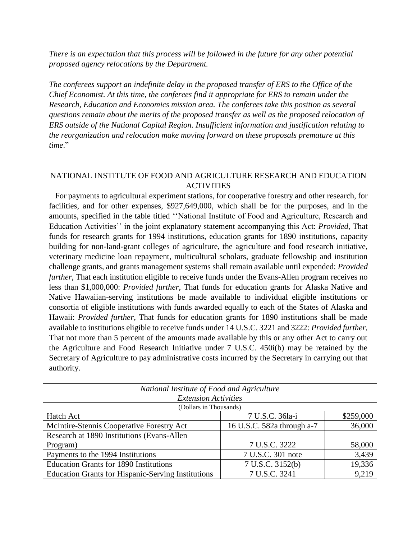*There is an expectation that this process will be followed in the future for any other potential proposed agency relocations by the Department.*

*The conferees support an indefinite delay in the proposed transfer of ERS to the Office of the Chief Economist. At this time, the conferees find it appropriate for ERS to remain under the Research, Education and Economics mission area. The conferees take this position as several questions remain about the merits of the proposed transfer as well as the proposed relocation of ERS outside of the National Capital Region. Insufficient information and justification relating to the reorganization and relocation make moving forward on these proposals premature at this time*."

# NATIONAL INSTITUTE OF FOOD AND AGRICULTURE RESEARCH AND EDUCATION ACTIVITIES

 For payments to agricultural experiment stations, for cooperative forestry and other research, for facilities, and for other expenses, \$927,649,000, which shall be for the purposes, and in the amounts, specified in the table titled ''National Institute of Food and Agriculture, Research and Education Activities'' in the joint explanatory statement accompanying this Act: *Provided*, That funds for research grants for 1994 institutions, education grants for 1890 institutions, capacity building for non-land-grant colleges of agriculture, the agriculture and food research initiative, veterinary medicine loan repayment, multicultural scholars, graduate fellowship and institution challenge grants, and grants management systems shall remain available until expended: *Provided further*, That each institution eligible to receive funds under the Evans-Allen program receives no less than \$1,000,000: *Provided further*, That funds for education grants for Alaska Native and Native Hawaiian-serving institutions be made available to individual eligible institutions or consortia of eligible institutions with funds awarded equally to each of the States of Alaska and Hawaii: *Provided further*, That funds for education grants for 1890 institutions shall be made available to institutions eligible to receive funds under 14 U.S.C. 3221 and 3222: *Provided further*, That not more than 5 percent of the amounts made available by this or any other Act to carry out the Agriculture and Food Research Initiative under 7 U.S.C. 450i(b) may be retained by the Secretary of Agriculture to pay administrative costs incurred by the Secretary in carrying out that authority.

| National Institute of Food and Agriculture<br><b>Extension Activities</b> |                            |           |  |  |
|---------------------------------------------------------------------------|----------------------------|-----------|--|--|
| (Dollars in Thousands)                                                    |                            |           |  |  |
| Hatch Act                                                                 | 7 U.S.C. 36la-i            | \$259,000 |  |  |
| McIntire-Stennis Cooperative Forestry Act                                 | 16 U.S.C. 582a through a-7 | 36,000    |  |  |
| Research at 1890 Institutions (Evans-Allen                                |                            |           |  |  |
| Program)                                                                  | 7 U.S.C. 3222              | 58,000    |  |  |
| Payments to the 1994 Institutions                                         | 7 U.S.C. 301 note          | 3,439     |  |  |
| <b>Education Grants for 1890 Institutions</b>                             | 7 U.S.C. 3152(b)           | 19,336    |  |  |
| <b>Education Grants for Hispanic-Serving Institutions</b>                 | 7 U.S.C. 3241              | 9,219     |  |  |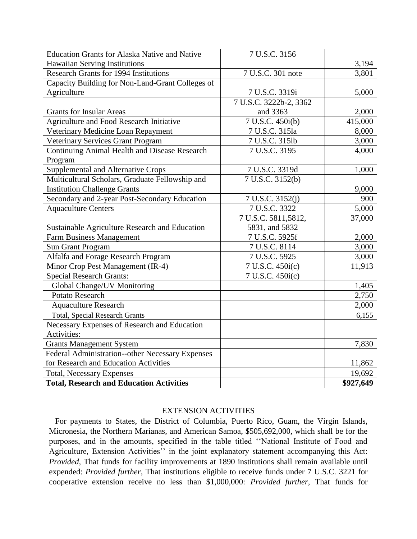| <b>Education Grants for Alaska Native and Native</b> | 7 U.S.C. 3156          |           |
|------------------------------------------------------|------------------------|-----------|
| <b>Hawaiian Serving Institutions</b>                 |                        | 3,194     |
| <b>Research Grants for 1994 Institutions</b>         | 7 U.S.C. 301 note      | 3,801     |
| Capacity Building for Non-Land-Grant Colleges of     |                        |           |
| Agriculture                                          | 7 U.S.C. 3319i         | 5,000     |
|                                                      | 7 U.S.C. 3222b-2, 3362 |           |
| <b>Grants for Insular Areas</b>                      | and 3363               | 2,000     |
| Agriculture and Food Research Initiative             | 7 U.S.C. 450i(b)       | 415,000   |
| Veterinary Medicine Loan Repayment                   | 7 U.S.C. 315la         | 8,000     |
| Veterinary Services Grant Program                    | 7 U.S.C. 315lb         | 3,000     |
| <b>Continuing Animal Health and Disease Research</b> | 7 U.S.C. 3195          | 4,000     |
| Program                                              |                        |           |
| Supplemental and Alternative Crops                   | 7 U.S.C. 3319d         | 1,000     |
| Multicultural Scholars, Graduate Fellowship and      | 7 U.S.C. 3152(b)       |           |
| <b>Institution Challenge Grants</b>                  |                        | 9,000     |
| Secondary and 2-year Post-Secondary Education        | 7 U.S.C. 3152(j)       | 900       |
| <b>Aquaculture Centers</b>                           | 7 U.S.C. 3322          | 5,000     |
|                                                      | 7 U.S.C. 5811,5812,    | 37,000    |
| Sustainable Agriculture Research and Education       | 5831, and 5832         |           |
| <b>Farm Business Management</b>                      | 7 U.S.C. 5925f         | 2,000     |
| <b>Sun Grant Program</b>                             | 7 U.S.C. 8114          | 3,000     |
| Alfalfa and Forage Research Program                  | 7 U.S.C. 5925          | 3,000     |
| Minor Crop Pest Management (IR-4)                    | 7 U.S.C. 450i(c)       | 11,913    |
| <b>Special Research Grants:</b>                      | 7 U.S.C. 450i(c)       |           |
| Global Change/UV Monitoring                          |                        | 1,405     |
| Potato Research                                      |                        | 2,750     |
| <b>Aquaculture Research</b>                          |                        | 2,000     |
| <b>Total, Special Research Grants</b>                |                        | 6,155     |
| Necessary Expenses of Research and Education         |                        |           |
| Activities:                                          |                        |           |
| <b>Grants Management System</b>                      |                        | 7,830     |
| Federal Administration--other Necessary Expenses     |                        |           |
| for Research and Education Activities                |                        | 11,862    |
| <b>Total, Necessary Expenses</b>                     |                        | 19,692    |
| <b>Total, Research and Education Activities</b>      |                        | \$927,649 |

### EXTENSION ACTIVITIES

 For payments to States, the District of Columbia, Puerto Rico, Guam, the Virgin Islands, Micronesia, the Northern Marianas, and American Samoa, \$505,692,000, which shall be for the purposes, and in the amounts, specified in the table titled ''National Institute of Food and Agriculture, Extension Activities'' in the joint explanatory statement accompanying this Act: *Provided*, That funds for facility improvements at 1890 institutions shall remain available until expended: *Provided further*, That institutions eligible to receive funds under 7 U.S.C. 3221 for cooperative extension receive no less than \$1,000,000: *Provided further*, That funds for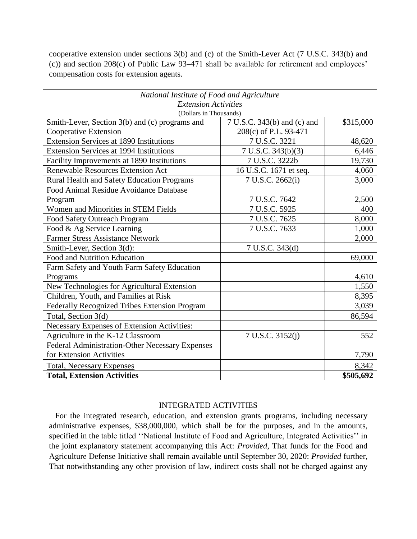cooperative extension under sections 3(b) and (c) of the Smith-Lever Act (7 U.S.C. 343(b) and (c)) and section 208(c) of Public Law 93–471 shall be available for retirement and employees' compensation costs for extension agents.

| National Institute of Food and Agriculture                                                              |                        |           |  |  |
|---------------------------------------------------------------------------------------------------------|------------------------|-----------|--|--|
| <b>Extension Activities</b>                                                                             |                        |           |  |  |
| (Dollars in Thousands)<br>7 U.S.C. 343(b) and (c) and<br>Smith-Lever, Section 3(b) and (c) programs and |                        |           |  |  |
| Cooperative Extension                                                                                   | 208(c) of P.L. 93-471  | \$315,000 |  |  |
| <b>Extension Services at 1890 Institutions</b>                                                          | 7 U.S.C. 3221          | 48,620    |  |  |
| <b>Extension Services at 1994 Institutions</b>                                                          | 7 U.S.C. 343(b)(3)     | 6,446     |  |  |
|                                                                                                         | 7 U.S.C. 3222b         | 19,730    |  |  |
| Facility Improvements at 1890 Institutions<br><b>Renewable Resources Extension Act</b>                  |                        |           |  |  |
|                                                                                                         | 16 U.S.C. 1671 et seq. | 4,060     |  |  |
| Rural Health and Safety Education Programs                                                              | 7 U.S.C. 2662(i)       | 3,000     |  |  |
| Food Animal Residue Avoidance Database                                                                  |                        |           |  |  |
| Program                                                                                                 | 7 U.S.C. 7642          | 2,500     |  |  |
| Women and Minorities in STEM Fields                                                                     | 7 U.S.C. 5925          | 400       |  |  |
| Food Safety Outreach Program                                                                            | 7 U.S.C. 7625          | 8,000     |  |  |
| Food & Ag Service Learning                                                                              | 7 U.S.C. 7633          | 1,000     |  |  |
| <b>Farmer Stress Assistance Network</b>                                                                 |                        | 2,000     |  |  |
| Smith-Lever, Section 3(d):                                                                              | 7 U.S.C. 343(d)        |           |  |  |
| Food and Nutrition Education                                                                            |                        | 69,000    |  |  |
| Farm Safety and Youth Farm Safety Education                                                             |                        |           |  |  |
| Programs                                                                                                |                        | 4,610     |  |  |
| New Technologies for Agricultural Extension                                                             |                        | 1,550     |  |  |
| Children, Youth, and Families at Risk                                                                   |                        | 8,395     |  |  |
| Federally Recognized Tribes Extension Program                                                           |                        | 3,039     |  |  |
| Total, Section 3(d)                                                                                     |                        | 86,594    |  |  |
| Necessary Expenses of Extension Activities:                                                             |                        |           |  |  |
| Agriculture in the K-12 Classroom                                                                       | 7 U.S.C. 3152(j)       | 552       |  |  |
| Federal Administration-Other Necessary Expenses                                                         |                        |           |  |  |
| for Extension Activities                                                                                |                        | 7,790     |  |  |
| <b>Total, Necessary Expenses</b>                                                                        |                        | 8,342     |  |  |
| <b>Total, Extension Activities</b>                                                                      |                        | \$505,692 |  |  |

## INTEGRATED ACTIVITIES

 For the integrated research, education, and extension grants programs, including necessary administrative expenses, \$38,000,000, which shall be for the purposes, and in the amounts, specified in the table titled ''National Institute of Food and Agriculture, Integrated Activities'' in the joint explanatory statement accompanying this Act: *Provided*, That funds for the Food and Agriculture Defense Initiative shall remain available until September 30, 2020: *Provided* further, That notwithstanding any other provision of law, indirect costs shall not be charged against any